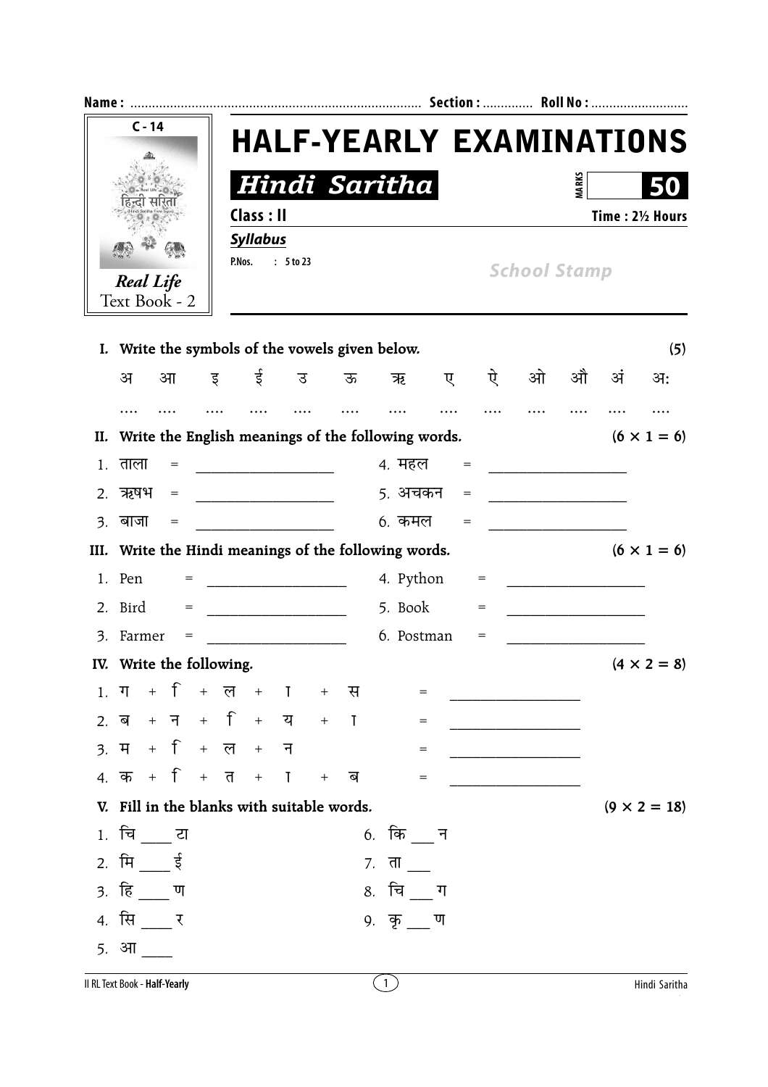| $C - 14$                                                                    |                                                                               |  |                                     |   |                               |         |  |   |                        |                                                           |   |                     |   |              |    |     |  |
|-----------------------------------------------------------------------------|-------------------------------------------------------------------------------|--|-------------------------------------|---|-------------------------------|---------|--|---|------------------------|-----------------------------------------------------------|---|---------------------|---|--------------|----|-----|--|
|                                                                             |                                                                               |  |                                     |   |                               |         |  |   |                        | <b>HALF-YEARLY EXAMINATIONS</b>                           |   |                     |   |              |    |     |  |
|                                                                             |                                                                               |  |                                     |   |                               |         |  |   |                        |                                                           |   |                     |   | <b>MARKS</b> |    |     |  |
|                                                                             |                                                                               |  |                                     |   | Hindi Saritha                 |         |  |   |                        |                                                           |   |                     |   |              |    |     |  |
|                                                                             |                                                                               |  |                                     |   | Class : II<br><b>Syllabus</b> |         |  |   |                        |                                                           |   | Time: 21/2 Hours    |   |              |    |     |  |
| <b>Real Life</b><br>Text Book - 2                                           |                                                                               |  |                                     |   | : 5 to 23<br>P.Nos.           |         |  |   |                        |                                                           |   | <b>School Stamp</b> |   |              |    |     |  |
|                                                                             |                                                                               |  |                                     |   |                               |         |  |   |                        | I. Write the symbols of the vowels given below.           |   |                     |   |              |    | (5) |  |
|                                                                             | अ                                                                             |  | आ                                   | इ |                               | ई       |  | उ | ऊ                      | ऋ                                                         | ए | ऐ                   | ओ | औ            | अं | अः  |  |
|                                                                             |                                                                               |  |                                     |   |                               |         |  |   |                        |                                                           |   |                     |   |              |    |     |  |
| II.                                                                         | Write the English meanings of the following words.<br>$(6 \times 1 = 6)$      |  |                                     |   |                               |         |  |   |                        |                                                           |   |                     |   |              |    |     |  |
| 1.                                                                          | ताला                                                                          |  | $=$                                 |   |                               |         |  |   |                        | 4. महल                                                    |   | $=$                 |   |              |    |     |  |
| 2.                                                                          | 5. अचकन<br>ऋषभ<br>$=$<br>$=$<br><u> 1989 - Johann Marie Barn, mars eta ba</u> |  |                                     |   |                               |         |  |   |                        |                                                           |   |                     |   |              |    |     |  |
| $\mathcal{E}$ .                                                             | बाजा                                                                          |  | $\hspace*{0.4em} = \hspace*{0.4em}$ |   |                               |         |  |   |                        | 6. कमल                                                    |   | $=$                 |   |              |    |     |  |
| III. Write the Hindi meanings of the following words.<br>$(6 \times 1 = 6)$ |                                                                               |  |                                     |   |                               |         |  |   |                        |                                                           |   |                     |   |              |    |     |  |
|                                                                             | 1. Pen                                                                        |  |                                     |   |                               |         |  |   |                        | 4. Python                                                 |   |                     |   |              |    |     |  |
|                                                                             | 5. Book<br>2. Bird<br>$=$<br>$=$                                              |  |                                     |   |                               |         |  |   |                        |                                                           |   |                     |   |              |    |     |  |
|                                                                             | 3. Farmer                                                                     |  | =                                   |   |                               |         |  |   |                        | 6. Postman                                                |   | $=$                 |   |              |    |     |  |
|                                                                             | IV. Write the following.<br>$(4 \times 2 = 8)$                                |  |                                     |   |                               |         |  |   |                        |                                                           |   |                     |   |              |    |     |  |
|                                                                             |                                                                               |  |                                     |   |                               |         |  |   |                        | $1.  \nabla + \hat{1} + \nabla + \hat{1} + \nabla$<br>$=$ |   |                     |   |              |    |     |  |
|                                                                             |                                                                               |  |                                     |   |                               |         |  |   |                        | $\,=\,$                                                   |   |                     |   |              |    |     |  |
|                                                                             | $3. 7 + 1 + 7 + 7 + 7$                                                        |  |                                     |   |                               |         |  |   |                        | $=$                                                       |   |                     |   |              |    |     |  |
|                                                                             | 4. क + + + त + ा + ब                                                          |  |                                     |   |                               |         |  |   |                        | $=$                                                       |   |                     |   |              |    |     |  |
|                                                                             | V. Fill in the blanks with suitable words.<br>$(9 \times 2 = 18)$             |  |                                     |   |                               |         |  |   |                        |                                                           |   |                     |   |              |    |     |  |
|                                                                             | 1. चिं टा                                                                     |  |                                     |   |                               |         |  |   |                        | 6. कि न                                                   |   |                     |   |              |    |     |  |
|                                                                             | 2. मि $\frac{1}{2}$ ई<br>7. ता $\overline{\phantom{a}}$                       |  |                                     |   |                               |         |  |   |                        |                                                           |   |                     |   |              |    |     |  |
|                                                                             | 3. हि <u>प</u>                                                                |  |                                     |   |                               |         |  |   | 8. चि <sub>___</sub> ग |                                                           |   |                     |   |              |    |     |  |
|                                                                             | 4. सि ____ र                                                                  |  |                                     |   |                               | 9. कृ ण |  |   |                        |                                                           |   |                     |   |              |    |     |  |
|                                                                             | <u>5. आ</u>                                                                   |  |                                     |   |                               |         |  |   |                        |                                                           |   |                     |   |              |    |     |  |
|                                                                             |                                                                               |  |                                     |   |                               |         |  |   |                        |                                                           |   |                     |   |              |    |     |  |

Il RL Text Book - Half-Yearly